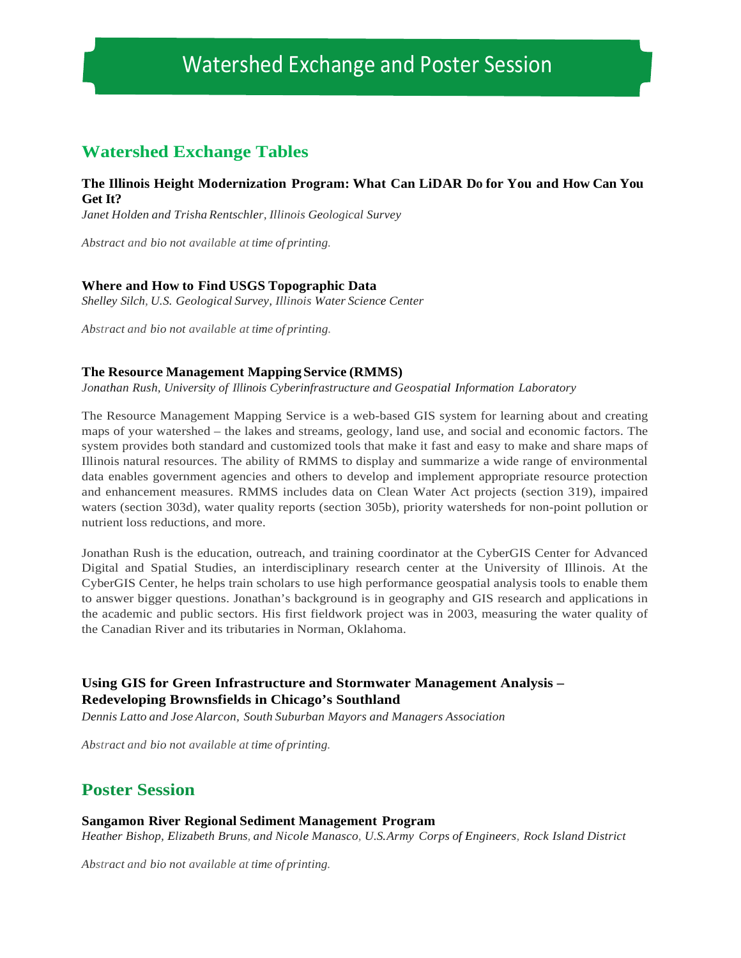# Watershed Exchange and Poster Session

# **Watershed Exchange Tables**

## **The Illinois Height Modernization Program: What Can LiDAR Do for You and How Can You Get It?**

*Janet Holden and Trisha Rentschler, Illinois Geological Survey*

*Abstract and bio not available at time of printing.*

## **Where and How to Find USGS Topographic Data**

*Shelley Silch, U.S. Geological Survey, Illinois Water Science Center*

*Abstract and bio not available at time of printing.*

## **The Resource Management MappingService (RMMS)**

*Jonathan Rush, University of Illinois Cyberinfrastructure and Geospatial Information Laboratory*

The Resource Management Mapping Service is a web-based GIS system for learning about and creating maps of your watershed – the lakes and streams, geology, land use, and social and economic factors. The system provides both standard and customized tools that make it fast and easy to make and share maps of Illinois natural resources. The ability of RMMS to display and summarize a wide range of environmental data enables government agencies and others to develop and implement appropriate resource protection and enhancement measures. RMMS includes data on Clean Water Act projects (section 319), impaired waters (section 303d), water quality reports (section 305b), priority watersheds for non-point pollution or nutrient loss reductions, and more.

Jonathan Rush is the education, outreach, and training coordinator at the CyberGIS Center for Advanced Digital and Spatial Studies, an interdisciplinary research center at the University of Illinois. At the CyberGIS Center, he helps train scholars to use high performance geospatial analysis tools to enable them to answer bigger questions. Jonathan's background is in geography and GIS research and applications in the academic and public sectors. His first fieldwork project was in 2003, measuring the water quality of the Canadian River and its tributaries in Norman, Oklahoma.

# **Using GIS for Green Infrastructure and Stormwater Management Analysis – Redeveloping Brownsfields in Chicago's Southland**

*Dennis Latto and Jose Alarcon, South Suburban Mayors and Managers Association*

*Abstract and bio not available at time of printing.*

# **Poster Session**

#### **Sangamon River Regional Sediment Management Program**

*Heather Bishop, Elizabeth Bruns, and Nicole Manasco, U.S.Army Corps of Engineers, Rock Island District*

*Abstract and bio not available at time of printing.*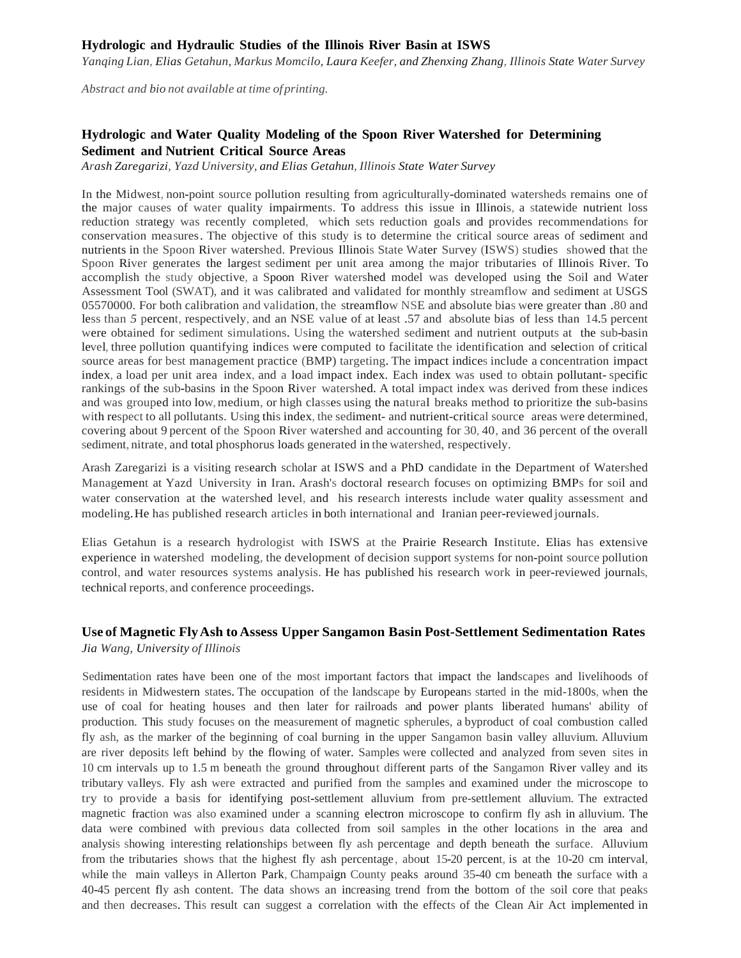## **Hydrologic and Hydraulic Studies of the Illinois River Basin at ISWS**

*Yanqing Lian, Elias Getahun, Markus Momcilo, Laura Keefer, and Zhenxing Zhang, Illinois State Water Survey*

*Abstract and bio not available at time ofprinting.*

# **Hydrologic and Water Quality Modeling of the Spoon River Watershed for Determining Sediment and Nutrient Critical Source Areas**

*Arash Zaregarizi, Yazd University, and Elias Getahun, Illinois State Water Survey*

In the Midwest, non-point source pollution resulting from agriculturally-dominated watersheds remains one of the major causes of water quality impairments. To address this issue in Illinois, a statewide nutrient loss reduction strategy was recently completed, which sets reduction goals and provides recommendations for conservation measures. The objective of this study is to determine the critical source areas of sediment and nutrients in the Spoon River watershed. Previous Illinois State Water Survey (ISWS) studies showed that the Spoon River generates the largest sediment per unit area among the major tributaries of Illinois River. To accomplish the study objective, a Spoon River watershed model was developed using the Soil and Water Assessment Tool (SWAT), and it was calibrated and validated for monthly streamflow and sediment at USGS 05570000. For both calibration and validation, the streamflow NSE and absolute bias were greater than .80 and less than *5* percent, respectively, and an NSE value of at least .57 and absolute bias of less than 14.5 percent were obtained for sediment simulations. Using the watershed sediment and nutrient outputs at the sub-basin level, three pollution quantifying indices were computed to facilitate the identification and selection of critical source areas for best management practice (BMP) targeting. The impact indices include a concentration impact index, a load per unit area index, and a load impact index. Each index was used to obtain pollutant- specific rankings of the sub-basins in the Spoon River watershed. A total impact index was derived from these indices and was grouped into low, medium, or high classes using the natural breaks method to prioritize the sub-basins with respect to all pollutants. Using this index, the sediment- and nutrient-critical source areas were determined, covering about 9 percent of the Spoon River watershed and accounting for 30, 40, and 36 percent of the overall sediment, nitrate, and total phosphorus loads generated in the watershed, respectively.

Arash Zaregarizi is a visiting research scholar at ISWS and a PhD candidate in the Department of Watershed Management at Yazd University in Iran. Arash's doctoral research focuses on optimizing BMPs for soil and water conservation at the watershed level, and his research interests include water quality assessment and modeling.He has published research articles in both international and Iranian peer-reviewed journals.

Elias Getahun is a research hydrologist with ISWS at the Prairie Research Institute. Elias has extensive experience in watershed modeling, the development of decision support systems for non-point source pollution control, and water resources systems analysis. He has published his research work in peer-reviewed journals, technical reports, and conference proceedings.

# **Use of Magnetic FlyAsh to Assess Upper Sangamon Basin Post-Settlement Sedimentation Rates**

*Jia Wang, University of Illinois*

Sedimentation rates have been one of the most important factors that impact the landscapes and livelihoods of residents in Midwestern states. The occupation of the landscape by Europeans started in the mid-1800s, when the use of coal for heating houses and then later for railroads and power plants liberated humans' ability of production. This study focuses on the measurement of magnetic spherules, a byproduct of coal combustion called fly ash, as the marker of the beginning of coal burning in the upper Sangamon basin valley alluvium. Alluvium are river deposits left behind by the flowing of water. Samples were collected and analyzed from seven sites in 10 cm intervals up to 1.5 m beneath the ground throughout different parts of the Sangamon River valley and its tributary valleys. Fly ash were extracted and purified from the samples and examined under the microscope to try to provide a basis for identifying post-settlement alluvium from pre-settlement alluvium. The extracted magnetic fraction was also examined under a scanning electron microscope to confirm fly ash in alluvium. The data were combined with previous data collected from soil samples in the other locations in the area and analysis showing interesting relationships between fly ash percentage and depth beneath the surface. Alluvium from the tributaries shows that the highest fly ash percentage, about 15-20 percent, is at the 10-20 cm interval, while the main valleys in Allerton Park, Champaign County peaks around 35-40 cm beneath the surface with a 40-45 percent fly ash content. The data shows an increasing trend from the bottom of the soil core that peaks and then decreases. This result can suggest a correlation with the effects of the Clean Air Act implemented in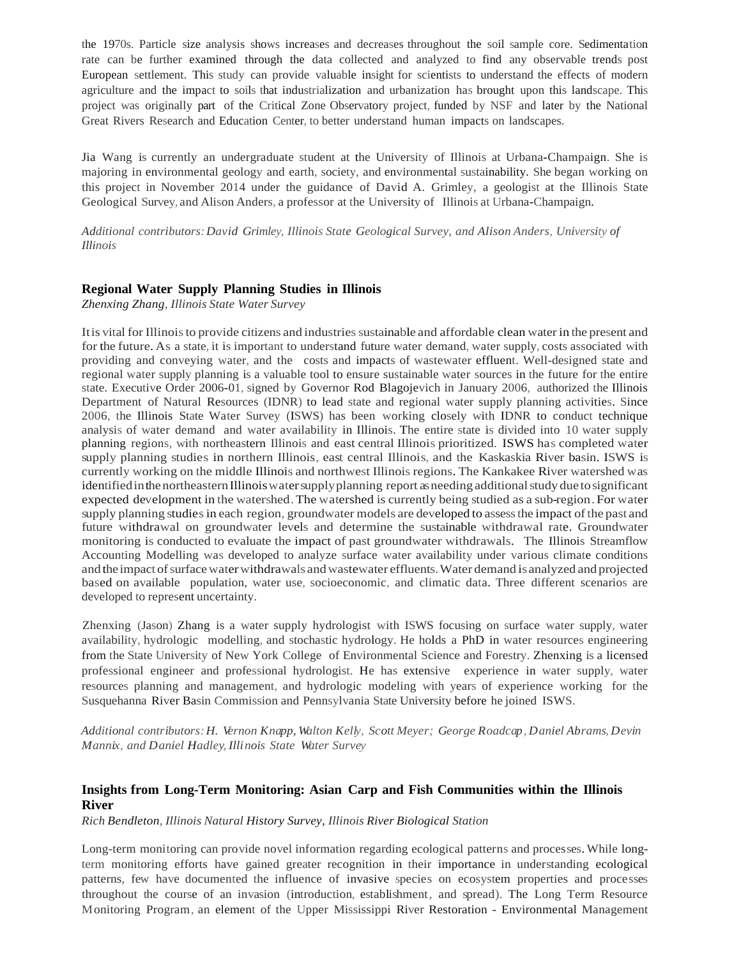the 1970s. Particle size analysis shows increases and decreases throughout the soil sample core. Sedimentation rate can be further examined through the data collected and analyzed to find any observable trends post European settlement. This study can provide valuable insight for scientists to understand the effects of modern agriculture and the impact to soils that industrialization and urbanization has brought upon this landscape. This project was originally part of the Critical Zone Observatory project, funded by NSF and later by the National Great Rivers Research and Education Center, to better understand human impacts on landscapes.

Jia Wang is currently an undergraduate student at the University of Illinois at Urbana-Champaign. She is majoring in environmental geology and earth, society, and environmental sustainability. She began working on this project in November 2014 under the guidance of David A. Grimley, a geologist at the Illinois State Geological Survey, and Alison Anders, a professor at the University of Illinois at Urbana-Champaign.

*Additional contributors:David Grimley, Illinois State Geological Survey, and Alison Anders, University of Illinois*

## **Regional Water Supply Planning Studies in Illinois**

*Zhenxing Zhang, Illinois State Water Survey*

It is vital for Illinois to provide citizens and industries sustainable and affordable clean water in the present and for the future. As a state, it is important to understand future water demand, water supply, costs associated with providing and conveying water, and the costs and impacts of wastewater effluent. Well-designed state and regional water supply planning is a valuable tool to ensure sustainable water sources in the future for the entire state. Executive Order 2006-01, signed by Governor Rod Blagojevich in January 2006, authorized the Illinois Department of Natural Resources (IDNR) to lead state and regional water supply planning activities. Since 2006, the Illinois State Water Survey (ISWS) has been working closely with IDNR to conduct technique analysis of water demand and water availability in Illinois. The entire state is divided into 10 water supply planning regions, with northeastern Illinois and east central Illinois prioritized. ISWS has completed water supply planning studies in northern Illinois, east central Illinois, and the Kaskaskia River basin. ISWS is currently working on the middle Illinois and northwest Illinois regions. The Kankakee River watershed was identified in the northeastern Illinois water supply planning report as needing additional study due to significant expected development in the watershed.The watershed is currently being studied as a sub-region.For water supply planning studies in each region, groundwater models are developed to assess the impact of the past and future withdrawal on groundwater levels and determine the sustainable withdrawal rate. Groundwater monitoring is conducted to evaluate the impact of past groundwater withdrawals. The Illinois Streamflow Accounting Modelling was developed to analyze surface water availability under various climate conditions and the impact of surface water withdrawals and wastewater effluents. Water demand is analyzed and projected based on available population, water use, socioeconomic, and climatic data. Three different scenarios are developed to represent uncertainty.

Zhenxing (Jason) Zhang is a water supply hydrologist with ISWS focusing on surface water supply, water availability, hydrologic modelling, and stochastic hydrology. He holds a PhD in water resources engineering from the State University of New York College of Environmental Science and Forestry. Zhenxing is a licensed professional engineer and professional hydrologist. He has extensive experience in water supply, water resources planning and management, and hydrologic modeling with years of experience working for the Susquehanna River Basin Commission and Pennsylvania State University before he joined ISWS.

*Additional contributors:H. Vernon Knapp, Walton Kelly, Scott Meyer; George Roadcap, Daniel Abrams, Devin Mannix, and Daniel Hadley, Illinois State Water Survey*

# **Insights from Long-Term Monitoring: Asian Carp and Fish Communities within the Illinois River**

*Rich Bendleton, Illinois Natural History Survey, Illinois River Biological Station*

Long-term monitoring can provide novel information regarding ecological patterns and processes. While longterm monitoring efforts have gained greater recognition in their importance in understanding ecological patterns, few have documented the influence of invasive species on ecosystem properties and processes throughout the course of an invasion (introduction, establishment, and spread). The Long Term Resource Monitoring Program, an element of the Upper Mississippi River Restoration - Environmental Management